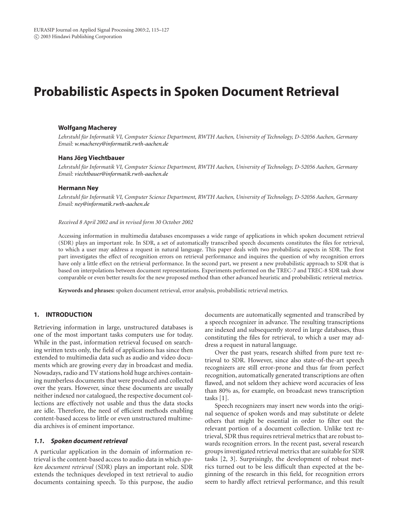# **Probabilistic Aspects in Spoken Document Retrieval**

## **Wolfgang Macherey**

*Lehrstuhl fur Informatik VI, Computer Science Department, RWTH Aachen, University of Technology, D-52056 Aachen, Germany ¨ Email: [w.macherey@informatik.rwth-aachen.de](mailto:w.macherey@informatik.rwth-aachen.de)*

#### **Hans Jorg Viechtbauer ¨**

*Lehrstuhl fur Informatik VI, Computer Science Department, RWTH Aachen, University of Technology, D-52056 Aachen, Germany ¨ Email: [viechtbauer@informatik.rwth-aachen.de](mailto:viechtbauer@informatik.rwth-aachen.de)*

#### **Hermann Ney**

*Lehrstuhl fur Informatik VI, Computer Science Department, RWTH Aachen, University of Technology, D-52056 Aachen, Germany ¨ Email: [ney@informatik.rwth-aachen.de](mailto:ney@informatik.rwth-aachen.de)*

#### *Received 8 April 2002 and in revised form 30 October 2002*

Accessing information in multimedia databases encompasses a wide range of applications in which spoken document retrieval (SDR) plays an important role. In SDR, a set of automatically transcribed speech documents constitutes the files for retrieval, to which a user may address a request in natural language. This paper deals with two probabilistic aspects in SDR. The first part investigates the effect of recognition errors on retrieval performance and inquires the question of why recognition errors have only a little effect on the retrieval performance. In the second part, we present a new probabilistic approach to SDR that is based on interpolations between document representations. Experiments performed on the TREC-7 and TREC-8 SDR task show comparable or even better results for the new proposed method than other advanced heuristic and probabilistic retrieval metrics.

**Keywords and phrases:** spoken document retrieval, error analysis, probabilistic retrieval metrics.

# **1. INTRODUCTION**

Retrieving information in large, unstructured databases is one of the most important tasks computers use for today. While in the past, information retrieval focused on searching written texts only, the field of applications has since then extended to multimedia data such as audio and video documents which are growing every day in broadcast and media. Nowadays, radio and TV stations hold huge archives containing numberless documents that were produced and collected over the years. However, since these documents are usually neither indexed nor catalogued, the respective document collections are effectively not usable and thus the data stocks are idle. Therefore, the need of efficient methods enabling content-based access to little or even unstructured multimedia archives is of eminent importance.

# *1.1. Spoken document retrieval*

A particular application in the domain of information retrieval is the content-based access to audio data in which *spoken document retrieval* (SDR) plays an important role. SDR extends the techniques developed in text retrieval to audio documents containing speech. To this purpose, the audio

documents are automatically segmented and transcribed by a speech recognizer in advance. The resulting transcriptions are indexed and subsequently stored in large databases, thus constituting the files for retrieval, to which a user may address a request in natural language.

Over the past years, research shifted from pure text retrieval to SDR. However, since also state-of-the-art speech recognizers are still error-prone and thus far from perfect recognition, automatically generated transcriptions are often flawed, and not seldom they achieve word accuracies of less than 80% as, for example, on broadcast news transcription tasks [1].

Speech recognizers may insert new words into the original sequence of spoken words and may substitute or delete others that might be essential in order to filter out the relevant portion of a document collection. Unlike text retrieval, SDR thus requires retrieval metrics that are robust towards recognition errors. In the recent past, several research groups investigated retrieval metrics that are suitable for SDR tasks [2, 3]. Surprisingly, the development of robust metrics turned out to be less difficult than expected at the beginning of the research in this field, for recognition errors seem to hardly affect retrieval performance, and this result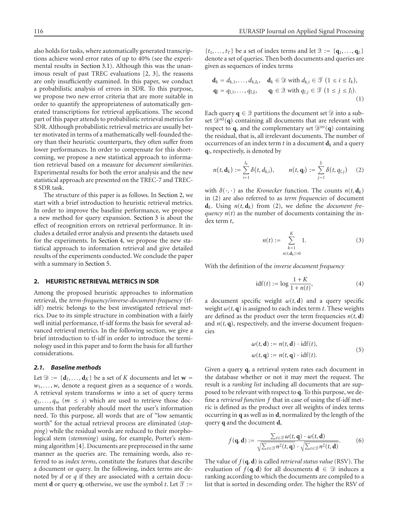also holds for tasks, where automatically generated transcriptions achieve word error rates of up to 40% (see the experimental results in Section 3.1). Although this was the unanimous result of past TREC evaluations [2, 3], the reasons are only insufficiently examined. In this paper, we conduct a probabilistic analysis of errors in SDR. To this purpose, we propose two new error criteria that are more suitable in order to quantify the appropriateness of automatically generated transcriptions for retrieval applications. The second part of this paper attends to probabilistic retrieval metrics for SDR. Although probabilistic retrieval metrics are usually better motivated in terms of a mathematically well-founded theory than their heuristic counterparts, they often suffer from lower performances. In order to compensate for this shortcoming, we propose a new statistical approach to information retrieval based on a measure for *document similarities*. Experimental results for both the error analysis and the new statistical approach are presented on the TREC-7 and TREC-8 SDR task.

The structure of this paper is as follows. In Section 2, we start with a brief introduction to heuristic retrieval metrics. In order to improve the baseline performance, we propose a new method for query expansion. Section 3 is about the effect of recognition errors on retrieval performance. It includes a detailed error analysis and presents the datasets used for the experiments. In Section 4, we propose the new statistical approach to information retrieval and give detailed results of the experiments conducted. We conclude the paper with a summary in Section 5.

## **2. HEURISTIC RETRIEVAL METRICS IN SDR**

Among the proposed heuristic approaches to information retrieval, the *term-frequency/inverse-document-frequency* (tfidf) metric belongs to the best investigated retrieval metrics. Due to its simple structure in combination with a fairly well initial performance, tf-idf forms the basis for several advanced retrieval metrics. In the following section, we give a brief introduction to tf-idf in order to introduce the terminology used in this paper and to form the basis for all further considerations.

# *2.1. Baseline methods*

Let  $\mathcal{D} := \{d_1, \ldots, d_K\}$  be a set of *K* documents and let  $w =$ *w*1*,...,ws* denote a request given as a sequence of *s* words. A retrieval system transforms *w* into a set of query terms  $q_1, \ldots, q_m$  ( $m \leq s$ ) which are used to retrieve those documents that preferably should meet the user's information need. To this purpose, all words that are of "low semantic worth" for the actual retrieval process are eliminated (*stopping*) while the residual words are reduced to their morphological stem (*stemming*) using, for example, Porter's stemming algorithm [4]. Documents are preprocessed in the same manner as the queries are. The remaining words, also referred to as *index terms*, constitute the features that describe a document or query. In the following, index terms are denoted by *d* or *q* if they are associated with a certain document **d** or query **q**; otherwise, we use the symbol *t*. Let  $\mathcal{T} :=$ 

 $\{t_1, \ldots, t_T\}$  be a set of index terms and let  $\mathcal{Q} := \{q_1, \ldots, q_L\}$ denote a set of queries. Then both documents and queries are given as sequences of index terms

$$
\mathbf{d}_k = d_{k,1}, \dots, d_{k,I_k}, \quad \mathbf{d}_k \in \mathfrak{D} \text{ with } d_{k,i} \in \mathfrak{T} \ (1 \leq i \leq I_k),
$$
\n
$$
\mathbf{q}_l = q_{l,1}, \dots, q_{l,J_l}, \qquad \mathbf{q}_l \in \mathfrak{D} \text{ with } q_{l,j} \in \mathfrak{T} \ (1 \leq j \leq J_l). \tag{1}
$$

Each query  $q \in \mathcal{Q}$  partitions the document set  $\mathcal{D}$  into a subset  $\mathcal{D}^{\text{rel}}(q)$  containing all documents that are relevant with respect to **q**, and the complementary set  $\mathcal{D}^{\text{irr}}(\mathbf{q})$  containing the residual, that is, all irrelevant documents. The number of occurrences of an index term  $t$  in a document  $\mathbf{d}_k$  and a query **q***l*, respectively, is denoted by

$$
n(t, \mathbf{d}_k) := \sum_{i=1}^{I_k} \delta(t, d_{k,i}), \qquad n(t, \mathbf{q}_l) := \sum_{j=1}^{J_l} \delta(t, q_{l,j}) \qquad (2)
$$

with  $\delta(\cdot, \cdot)$  as the *Kronecker* function. The counts  $n(t, \mathbf{d}_k)$ in (2) are also referred to as *term frequencies* of document  $\mathbf{d}_k$ . Using  $n(t, \mathbf{d}_k)$  from (2), we define the *document frequency*  $n(t)$  as the number of documents containing the index term *t*,

$$
n(t) := \sum_{\substack{k=1 \ n(t, \mathbf{d}_k) > 0}}^{K} 1. \tag{3}
$$

With the definition of the *inverse document frequency*

$$
idf(t) := \log \frac{1+K}{1+n(t)},\tag{4}
$$

a document specific weight  $\omega(t, d)$  and a query specific weight  $\omega(t, \mathbf{q})$  is assigned to each index term *t*. These weights are defined as the product over the term frequencies  $n(t, d)$ and  $n(t, q)$ , respectively, and the inverse document frequencies

$$
\omega(t, \mathbf{d}) := n(t, \mathbf{d}) \cdot \text{idf}(t),
$$
  
\n
$$
\omega(t, \mathbf{q}) := n(t, \mathbf{q}) \cdot \text{idf}(t).
$$
\n(5)

Given a query **q**, a retrieval system rates each document in the database whether or not it may meet the request. The result is a *ranking list* including all documents that are supposed to be relevant with respect to **q**. To this purpose, we define a *retrieval function f* that in case of using the tf-idf metric is defined as the product over all weights of index terms occurring in **q** as well as in **d**, normalized by the length of the query **q** and the document **d**,

$$
f(\mathbf{q}, \mathbf{d}) := \frac{\sum_{t \in \mathcal{T}} \omega(t, \mathbf{q}) \cdot \omega(t, \mathbf{d})}{\sqrt{\sum_{t \in \mathcal{T}} n^2(t, \mathbf{q})} \cdot \sqrt{\sum_{t \in \mathcal{T}} n^2(t, \mathbf{d})}}.
$$
 (6)

The value of *f* (**q***,* **d**) is called *retrieval status value* (RSV). The evaluation of  $f(\mathbf{q}, \mathbf{d})$  for all documents  $\mathbf{d} \in \mathcal{D}$  induces a ranking according to which the documents are compiled to a list that is sorted in descending order. The higher the RSV of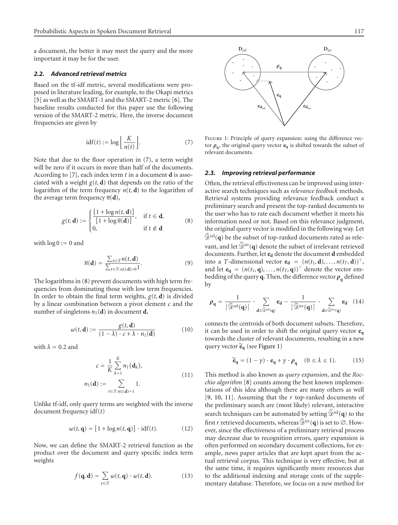a document, the better it may meet the query and the more important it may be for the user.

# *2.2. Advanced retrieval metrics*

Based on the tf-idf metric, several modifications were proposed in literature leading, for example, to the Okapi metrics [5] as well as the SMART-1 and the SMART-2 metric [6]. The baseline results conducted for this paper use the following version of the SMART-2 metric. Here, the inverse document frequencies are given by

$$
idf(t) := \log \left[ \frac{K}{n(t)} \right]. \tag{7}
$$

Note that due to the floor operation in (7), a term weight will be zero if it occurs in more than half of the documents. According to [7], each index term *t* in a document **d** is associated with a weight  $g(t, d)$  that depends on the ratio of the logarithm of the term frequency  $n(t, d)$  to the logarithm of the average term frequency  $\overline{n}(\mathbf{d})$ ,

$$
g(t, \mathbf{d}) := \begin{cases} \frac{[1 + \log n(t, \mathbf{d})]}{[1 + \log \overline{n}(\mathbf{d})]}, & \text{if } t \in \mathbf{d}, \\ 0, & \text{if } t \notin \mathbf{d} \end{cases}
$$
(8)

with  $\log 0 := 0$  and

$$
\overline{n}(\mathbf{d}) = \frac{\sum_{t \in \mathcal{T}} n(t, \mathbf{d})}{\sum_{t \in \mathcal{T}: n(t, \mathbf{d}) > 0} 1}.
$$
 (9)

The logarithms in (8) prevent documents with high term frequencies from dominating those with low term frequencies. In order to obtain the final term weights,  $g(t, d)$  is divided by a linear combination between a pivot element *c* and the number of singletons  $n_1(\mathbf{d})$  in document **d**,

$$
\omega(t, \mathbf{d}) := \frac{g(t, \mathbf{d})}{(1 - \lambda) \cdot c + \lambda \cdot n_1(\mathbf{d})}
$$
(10)

with  $\lambda = 0.2$  and

$$
c = \frac{1}{K} \sum_{k=1}^{K} n_1(\mathbf{d}_k),
$$
  
\n
$$
n_1(\mathbf{d}) := \sum_{t \in \mathcal{T}: n(t, \mathbf{d}) = 1} 1.
$$
\n(11)

Unlike tf-idf, only query terms are weighted with the inverse document frequency idf (*t*)

$$
\omega(t, \mathbf{q}) = [1 + \log n(t, \mathbf{q})] \cdot \mathrm{idf}(t). \tag{12}
$$

Now, we can define the SMART-2 retrieval function as the product over the document and query specific index term weights

$$
f(\mathbf{q}, \mathbf{d}) = \sum_{t \in \mathcal{T}} \omega(t, \mathbf{q}) \cdot \omega(t, \mathbf{d}).
$$
 (13)



FIGURE 1: Principle of query expansion: using the difference vector  $\rho_q$ , the original query vector  $e_q$  is shifted towards the subset of relevant documents.

## *2.3. Improving retrieval performance*

Often, the retrieval effectiveness can be improved using interactive search techniques such as *relevance feedback* methods. Retrieval systems providing relevance feedback conduct a preliminary search and present the top-ranked documents to the user who has to rate each document whether it meets his information need or not. Based on this relevance judgment, the original query vector is modified in the following way. Let  $\widetilde{\mathcal{D}}^{\text{rel}}(q)$  be the subset of top-ranked documents rated as relevant, and let  $\widetilde{\mathfrak{D}}^{\text{irr}}(\mathbf{q})$  denote the subset of irrelevant retrieved documents. Further, let  $e_d$  denote the document **d** embedded into a *T*-dimensional vector **e**<sub>d</sub> =  $(n(t_1, d), ..., n(t_T, d))^T$ , and let  $\mathbf{e}_q = (n(t_1, q), \dots, n(t_T, q))^T$  denote the vector embedding of the query **q**. Then, the difference vector  $\rho_{q}$  defined by

$$
\pmb{\rho}_\mathbf{q} = \frac{1}{\big|\widetilde{\mathcal{D}}^\text{rel}(\mathbf{q})\big|} \cdot \sum_{\mathbf{d}\in\widetilde{\mathcal{D}}^\text{rel}(\mathbf{q})} \pmb{e}_\mathbf{d} - \frac{1}{\big|\widetilde{\mathcal{D}}^\text{irr}(\mathbf{q})\big|} \cdot \sum_{\mathbf{d}\in\widetilde{\mathcal{D}}^\text{irr}(\mathbf{q})} \pmb{e}_\mathbf{d} \quad (14)
$$

connects the centroids of both document subsets. Therefore, it can be used in order to shift the original query vector **eq** towards the cluster of relevant documents, resulting in a new query vector **eq** (see Figure 1)

$$
\widetilde{\mathbf{e}}_{\mathbf{q}} = (1 - \gamma) \cdot \mathbf{e}_{\mathbf{q}} + \gamma \cdot \boldsymbol{\rho}_{\mathbf{q}} \quad (0 \le \lambda \le 1). \tag{15}
$$

This method is also known as *query expansion*, and the *Rocchio algorithm* [8] counts among the best known implementations of this idea although there are many others as well [9, 10, 11]. Assuming that the *r* top-ranked documents of the preliminary search are (most likely) relevant, interactive search techniques can be automated by setting  $\widetilde{\mathfrak{D}}^{\text{rel}}(q)$  to the first *r* retrieved documents, whereas  $\widetilde{\mathfrak{D}}^{\text{irr}}(\mathbf{q})$  is set to  $\varnothing$ . However, since the effectiveness of a preliminary retrieval process may decrease due to recognition errors, query expansion is often performed on secondary document collections, for example, news paper articles that are kept apart from the actual retrieval corpus. This technique is very effective, but at the same time, it requires significantly more resources due to the additional indexing and storage costs of the supplementary database. Therefore, we focus on a new method for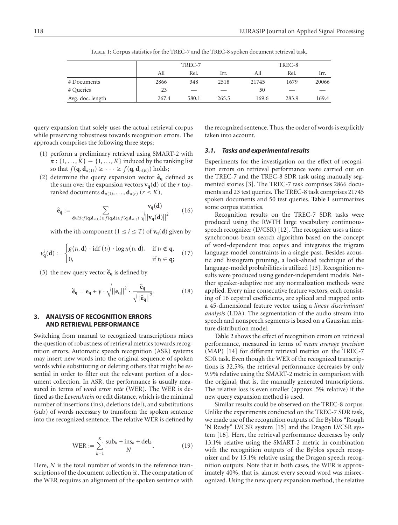|                  |       | TREC-7 | TREC-8 |       |                          |       |
|------------------|-------|--------|--------|-------|--------------------------|-------|
|                  | All   | Rel.   | Irr.   | All   | Rel.                     | Irr.  |
| # Documents      | 2866  | 348    | 2518   | 21745 | 1679                     | 20066 |
| # Queries        | 23    |        |        | 50    | $\overline{\phantom{a}}$ |       |
| Avg. doc. length | 267.4 | 580.1  | 265.5  | 169.6 | 283.9                    | 169.4 |

Table 1: Corpus statistics for the TREC-7 and the TREC-8 spoken document retrieval task.

query expansion that solely uses the actual retrieval corpus while preserving robustness towards recognition errors. The approach comprises the following three steps:

- (1) perform a preliminary retrieval using SMART-2 with  $\pi$ : {1,...,  $K$ }  $\rightarrow$  {1,...,  $K$ } induced by the ranking list so that  $f(\mathbf{q}, \mathbf{d}_{\pi(1)}) \geq \cdots \geq f(\mathbf{q}, \mathbf{d}_{\pi(K)})$  holds;
- (2) determine the query expansion vector  $\hat{\mathbf{e}}_{q}$  defined as the sum over the expansion vectors  $\mathbf{v}_q(\mathbf{d})$  of the *r* topranked documents  $\mathbf{d}_{\pi(1)}, \ldots, \mathbf{d}_{\pi(r)}$  ( $r \leq K$ ),

$$
\hat{\mathbf{e}}_{\mathbf{q}} := \sum_{\mathbf{d} \in \mathfrak{D} : f(\mathbf{q}, \mathbf{d}_{\pi(1)}) \ge f(\mathbf{q}, \mathbf{d}) \ge f(\mathbf{q}, \mathbf{d}_{\pi(r)})} \frac{\mathbf{v}_{\mathbf{q}}(\mathbf{d})}{\sqrt{||\mathbf{v}_{\mathbf{q}}(\mathbf{d})||}^2}
$$
(16)

with the *i*th component ( $1 \le i \le T$ ) of **v**<sub>q</sub>(**d**) given by

$$
v_{\mathbf{q}}^{i}(\mathbf{d}) := \begin{cases} g(t_{i}, \mathbf{d}) \cdot \operatorname{id} f(t_{i}) \cdot \log n(t_{i}, \mathbf{d}), & \text{if } t_{i} \notin \mathbf{q}, \\ 0, & \text{if } t_{i} \in \mathbf{q}; \end{cases} (17)
$$

(3) the new query vector  $\tilde{\mathbf{e}}_{q}$  is defined by

$$
\widetilde{\mathbf{e}}_{\mathbf{q}} = \mathbf{e}_{\mathbf{q}} + \gamma \cdot \sqrt{||\mathbf{e}_{\mathbf{q}}||^2} \cdot \frac{\widehat{\mathbf{e}}_{\mathbf{q}}}{\sqrt{||\widehat{\mathbf{e}}_{\mathbf{q}}||^2}}.
$$
 (18)

# **3. ANALYSIS OF RECOGNITION ERRORS AND RETRIEVAL PERFORMANCE**

Switching from manual to recognized transcriptions raises the question of robustness of retrieval metrics towards recognition errors. Automatic speech recognition (ASR) systems may insert new words into the original sequence of spoken words while substituting or deleting others that might be essential in order to filter out the relevant portion of a document collection. In ASR, the performance is usually measured in terms of *word error rate* (WER). The WER is defined as the *Levenshtein* or edit distance, which is the minimal number of insertions (ins), deletions (del), and substitutions (sub) of words necessary to transform the spoken sentence into the recognized sentence. The relative WER is defined by

$$
\text{WER} := \sum_{k=1}^{K} \frac{\text{sub}_k + \text{ins}_k + \text{del}_k}{N}.
$$
 (19)

Here, *N* is the total number of words in the reference transcriptions of the document collection  $\mathcal{D}$ . The computation of the WER requires an alignment of the spoken sentence with

the recognized sentence. Thus, the order of words is explicitly taken into account.

## *3.1. Tasks and experimental results*

Experiments for the investigation on the effect of recognition errors on retrieval performance were carried out on the TREC-7 and the TREC-8 SDR task using manually segmented stories [3]. The TREC-7 task comprises 2866 documents and 23 test queries. The TREC-8 task comprises 21745 spoken documents and 50 test queries. Table 1 summarizes some corpus statistics.

Recognition results on the TREC-7 SDR tasks were produced using the RWTH large vocabulary continuousspeech recognizer (LVCSR) [12]. The recognizer uses a timesynchronous beam search algorithm based on the concept of word-dependent tree copies and integrates the trigram language-model constraints in a single pass. Besides acoustic and histogram pruning, a look-ahead technique of the language-model probabilities is utilized [13]. Recognition results were produced using gender-independent models. Neither speaker-adaptive nor any normalization methods were applied. Every nine consecutive feature vectors, each consisting of 16 cepstral coefficients, are spliced and mapped onto a 45-dimensional feature vector using a *linear discriminant analysis* (LDA). The segmentation of the audio stream into speech and nonspeech segments is based on a Gaussian mixture distribution model.

Table 2 shows the effect of recognition errors on retrieval performance, measured in terms of *mean average precision* (MAP) [14] for different retrieval metrics on the TREC-7 SDR task. Even though the WER of the recognized transcriptions is 32.5%, the retrieval performance decreases by only 9.9% relative using the SMART-2 metric in comparison with the original, that is, the manually generated transcriptions. The relative loss is even smaller (approx. 5% relative) if the new query expansion method is used.

Similar results could be observed on the TREC-8 corpus. Unlike the experiments conducted on the TREC-7 SDR task, we made use of the recognition outputs of the Byblos "Rough 'N Ready" LVCSR system [15] and the Dragon LVCSR system [16]. Here, the retrieval performance decreases by only 13.1% relative using the SMART-2 metric in combination with the recognition outputs of the Byblos speech recognizer and by 15.1% relative using the Dragon speech recognition outputs. Note that in both cases, the WER is approximately 40%, that is, almost every second word was misrecognized. Using the new query expansion method, the relative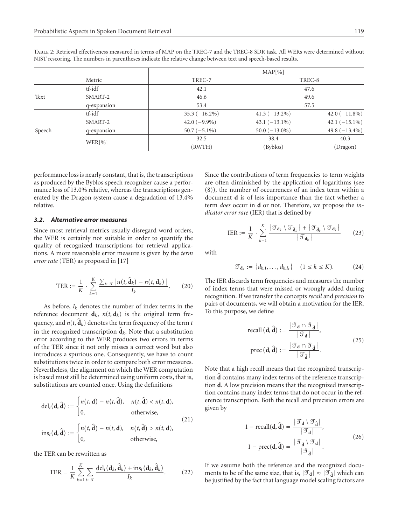|        |             | MAP[%]          |                  |                  |  |  |  |
|--------|-------------|-----------------|------------------|------------------|--|--|--|
|        | Metric      | TREC-7          | TREC-8           |                  |  |  |  |
|        | tf-idf      | 42.1            |                  | 47.6             |  |  |  |
| Text   | SMART-2     | 46.6            |                  | 49.6             |  |  |  |
|        | q-expansion | 53.4            | 57.5             |                  |  |  |  |
|        | tf-idf      | $35.3(-16.2\%)$ | $41.3(-13.2\%)$  | 42.0 $(-11.8\%)$ |  |  |  |
|        | SMART-2     | $42.0(-9.9\%)$  | $43.1(-13.1\%)$  | 42.1 $(-15.1\%)$ |  |  |  |
| Speech | q-expansion | $50.7(-5.1\%)$  | $50.0 (-13.0\%)$ | 49.8 $(-13.4\%)$ |  |  |  |
|        | WER[%]      | 32.5            | 38.4             | 40.3             |  |  |  |
|        |             | (RWTH)          | (Byblos)         | (Dragon)         |  |  |  |

Table 2: Retrieval effectiveness measured in terms of MAP on the TREC-7 and the TREC-8 SDR task. All WERs were determined without NIST rescoring. The numbers in parentheses indicate the relative change between text and speech-based results.

performance loss is nearly constant, that is, the transcriptions as produced by the Byblos speech recognizer cause a performance loss of 13.0% relative, whereas the transcriptions generated by the Dragon system cause a degradation of 13.4% relative.

#### *3.2. Alternative error measures*

Since most retrieval metrics usually disregard word orders, the WER is certainly not suitable in order to quantify the quality of recognized transcriptions for retrieval applications. A more reasonable error measure is given by the *term error rate* (TER) as proposed in [17]

$$
\text{TER} := \frac{1}{K} \cdot \sum_{k=1}^{K} \frac{\sum_{t \in \mathcal{T}} |n(t, \hat{\mathbf{d}}_k) - n(t, \mathbf{d}_k)|}{I_k}.
$$
 (20)

As before,  $I_k$  denotes the number of index terms in the reference document  $\mathbf{d}_k$ ,  $n(t, \mathbf{d}_k)$  is the original term frequency, and  $n(t, \mathbf{d}_k)$  denotes the term frequency of the term  $t$ in the recognized transcription  $\hat{d}_k$ . Note that a substitution error according to the WER produces two errors in terms of the TER since it not only misses a correct word but also introduces a spurious one. Consequently, we have to count substitutions twice in order to compare both error measures. Nevertheless, the alignment on which the WER computation is based must still be determined using uniform costs, that is, substitutions are counted once. Using the definitions

$$
\text{del}_t(\mathbf{d}, \hat{\mathbf{d}}) := \begin{cases} n(t, \mathbf{d}) - n(t, \hat{\mathbf{d}}), & n(t, \hat{\mathbf{d}}) < n(t, \mathbf{d}), \\ 0, & \text{otherwise,} \end{cases} \tag{21}
$$
\n
$$
\text{ins}_t(\mathbf{d}, \hat{\mathbf{d}}) := \begin{cases} n(t, \hat{\mathbf{d}}) - n(t, \mathbf{d}), & n(t, \hat{\mathbf{d}}) > n(t, \mathbf{d}), \end{cases}
$$

the TER can be rewritten as

 $\vert$  0.

$$
\text{TER} = \frac{1}{K} \sum_{k=1}^{K} \sum_{t \in \mathcal{T}} \frac{\text{del}_t(\mathbf{d}_k, \hat{\mathbf{d}}_k) + \text{ins}_t(\mathbf{d}_k, \hat{\mathbf{d}}_k)}{I_k}.
$$
 (22)

0*,* otherwise*,*

Since the contributions of term frequencies to term weights are often diminished by the application of logarithms (see (8)), the number of occurrences of an index term within a document **d** is of less importance than the fact whether a term *does* occur in **d** or not. Therefore, we propose the *indicator error rate* (IER) that is defined by

$$
\text{IER} := \frac{1}{K} \cdot \sum_{k=1}^{K} \frac{|\mathcal{T}_{\mathbf{d}_k} \setminus \mathcal{T}_{\hat{\mathbf{d}}_k}| + |\mathcal{T}_{\hat{\mathbf{d}}_k} \setminus \mathcal{T}_{\mathbf{d}_k}|}{|\mathcal{T}_{\mathbf{d}_k}|} \qquad (23)
$$

with

$$
\mathcal{T}_{\mathbf{d}_k} := \{ d_{k,1}, \dots, d_{k,I_k} \} \quad (1 \le k \le K). \tag{24}
$$

The IER discards term frequencies and measures the number of index terms that were missed or wrongly added during recognition. If we transfer the concepts *recall* and *precision* to pairs of documents, we will obtain a motivation for the IER. To this purpose, we define

recall (**d**, 
$$
\hat{\mathbf{d}}
$$
) :=  $\frac{|\mathcal{F}_{\mathbf{d}} \cap \mathcal{F}_{\hat{\mathbf{d}}}|}{|\mathcal{F}_{\mathbf{d}}|}$ ,  
prec (**d**,  $\hat{\mathbf{d}}$ ) :=  $\frac{|\mathcal{F}_{\mathbf{d}} \cap \mathcal{F}_{\hat{\mathbf{d}}}|}{|\mathcal{F}_{\hat{\mathbf{d}}}|}$ . (25)

Note that a high recall means that the recognized transcription **d** contains many index terms of the reference transcription **d**. A low precision means that the recognized transcription contains many index terms that do not occur in the reference transcription. Both the recall and precision errors are given by

$$
1 - \text{recall}(\mathbf{d}, \hat{\mathbf{d}}) = \frac{|\mathcal{F}_{\mathbf{d}} \setminus \mathcal{F}_{\hat{\mathbf{d}}}|}{|\mathcal{F}_{\mathbf{d}}|},
$$
  

$$
1 - \text{prec}(\mathbf{d}, \hat{\mathbf{d}}) = \frac{|\mathcal{F}_{\hat{\mathbf{d}}} \setminus \mathcal{F}_{\mathbf{d}}|}{|\mathcal{F}_{\hat{\mathbf{d}}}|}.
$$
 (26)

If we assume both the reference and the recognized documents to be of the same size, that is,  $|\mathcal{F}_d| \approx |\mathcal{F}_{\hat{d}}|$  which can be justified by the fact that language model scaling factors are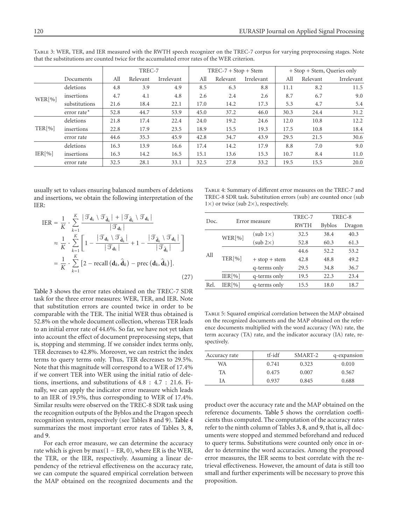|        |                    | TREC-7 |          |            | $TREC-7 + Stop + Stem$ |          |            | + Stop + Stem, Queries only |          |            |
|--------|--------------------|--------|----------|------------|------------------------|----------|------------|-----------------------------|----------|------------|
|        | Documents          | All    | Relevant | Irrelevant | All                    | Relevant | Irrelevant | All                         | Relevant | Irrelevant |
|        | deletions          | 4.8    | 3.9      | 4.9        | 8.5                    | 6.3      | 8.8        | 11.1                        | 8.2      | 11.5       |
| WER[%] | insertions         | 4.7    | 4.1      | 4.8        | 2.6                    | 2.4      | 2.6        | 8.7                         | 6.7      | 9.0        |
|        | substitutions      | 21.6   | 18.4     | 22.1       | 17.0                   | 14.2     | 17.3       | 5.3                         | 4.7      | 5.4        |
|        | error rate $\star$ | 52.8   | 44.7     | 53.9       | 45.0                   | 37.2     | 46.0       | 30.3                        | 24.4     | 31.2       |
|        | deletions          | 21.8   | 17.4     | 22.4       | 24.0                   | 19.2     | 24.6       | 12.0                        | 10.8     | 12.2       |
| TER[%] | insertions         | 22.8   | 17.9     | 23.5       | 18.9                   | 15.5     | 19.3       | 17.5                        | 10.8     | 18.4       |
|        | error rate         | 44.6   | 35.3     | 45.9       | 42.8                   | 34.7     | 43.9       | 29.5                        | 21.5     | 30.6       |
| IER[%] | deletions          | 16.3   | 13.9     | 16.6       | 17.4                   | 14.2     | 17.9       | 8.8                         | 7.0      | 9.0        |
|        | insertions         | 16.3   | 14.2     | 16.5       | 15.1                   | 13.6     | 15.3       | 10.7                        | 8.4      | 11.0       |
|        | error rate         | 32.5   | 28.1     | 33.1       | 32.5                   | 27.8     | 33.2       | 19.5                        | 15.5     | 20.0       |

Table 3: WER, TER, and IER measured with the RWTH speech recognizer on the TREC-7 corpus for varying preprocessing stages. Note that the substitutions are counted twice for the accumulated error rates of the WER criterion.

usually set to values ensuring balanced numbers of deletions and insertions, we obtain the following interpretation of the IER:

$$
IER = \frac{1}{K} \cdot \sum_{k=1}^{K} \frac{|\mathcal{T}_{d_k} \setminus \mathcal{T}_{\hat{d}_k}| + |\mathcal{T}_{\hat{d}_k} \setminus \mathcal{T}_{d_k}|}{|\mathcal{T}_{d_k}|}
$$
  
\n
$$
\approx \frac{1}{K} \cdot \sum_{k=1}^{K} \left[1 - \frac{|\mathcal{T}_{d_k} \setminus \mathcal{T}_{\hat{d}_k}|}{|\mathcal{T}_{d_k}|} + 1 - \frac{|\mathcal{T}_{\hat{d}_k} \setminus \mathcal{T}_{d_k}|}{|\mathcal{T}_{\hat{d}_k}|}\right]
$$
  
\n
$$
= \frac{1}{K} \cdot \sum_{k=1}^{K} \left[2 - \text{recall}(\mathbf{d}_k, \hat{\mathbf{d}}_k) - \text{prec}(\mathbf{d}_k, \hat{\mathbf{d}}_k)\right].
$$
\n(27)

Table 3 shows the error rates obtained on the TREC-7 SDR task for the three error measures: WER, TER, and IER. Note that substitution errors are counted twice in order to be comparable with the TER. The initial WER thus obtained is 52.8% on the whole document collection, whereas TER leads to an initial error rate of 44.6%. So far, we have not yet taken into account the effect of document preprocessing steps, that is, stopping and stemming. If we consider index terms only, TER decreases to 42.8%. Moreover, we can restrict the index terms to query terms only. Thus, TER decreases to 29*.*5%. Note that this magnitude will correspond to a WER of 17.4% if we convert TER into WER using the initial ratio of deletions, insertions, and substitutions of 4*.*8:4*.*7 : 21*.*6. Finally, we can apply the indicator error measure which leads to an IER of 19.5%, thus corresponding to WER of 17.4%. Similar results were observed on the TREC-8 SDR task using the recognition outputs of the Byblos and the Dragon speech recognition system, respectively (see Tables 8 and 9). Table 4 summarizes the most important error rates of Tables 3, 8, and 9.

For each error measure, we can determine the accuracy rate which is given by max $(1 - ER, 0)$ , where ER is the WER, the TER, or the IER, respectively. Assuming a linear dependency of the retrieval effectiveness on the accuracy rate, we can compute the squared empirical correlation between the MAP obtained on the recognized documents and the

Table 4: Summary of different error measures on the TREC-7 and TREC-8 SDR task. Substitution errors (sub) are counted once (sub  $1\times$ ) or twice (sub 2 $\times$ ), respectively.

|                        |                 | TREC-7        | TREC-8        |        |  |
|------------------------|-----------------|---------------|---------------|--------|--|
|                        |                 | <b>RWTH</b>   | <b>Byblos</b> | Dragon |  |
|                        | $(sub 1\times)$ | 32.5          | 38.4          | 40.3   |  |
|                        | (sub 2x)        | 52.8          | 60.3          | 61.3   |  |
|                        |                 | 44.6          | 52.2          | 53.2   |  |
| TER[%]                 | $+ stop + stem$ | 42.8          | 48.8          | 49.2   |  |
|                        | q-terms only    | 29.5          | 34.8          | 36.7   |  |
| IER[%]<br>q-terms only |                 | 19.5          | 22.3          | 23.4   |  |
| IER[%]                 | q-terms only    | 15.5          | 18.0          | 18.7   |  |
|                        | WER[%]          | Error measure |               |        |  |

Table 5: Squared empirical correlation between the MAP obtained on the recognized documents and the MAP obtained on the reference documents multiplied with the word accuracy (WA) rate, the term accuracy (TA) rate, and the indicator accuracy (IA) rate, respectively.

| Accuracy rate | tf-idf | SMART-2 | q-expansion |
|---------------|--------|---------|-------------|
| WA            | 0.741  | 0.323   | 0.010       |
| TA            | 0.475  | 0.007   | 0.567       |
| ſА            | 0.937  | 0.845   | 0.688       |

product over the accuracy rate and the MAP obtained on the reference documents. Table 5 shows the correlation coefficients thus computed. The computation of the accuracy rates refer to the ninth column of Tables 3, 8, and 9, that is, all documents were stopped and stemmed beforehand and reduced to query terms. Substitutions were counted only once in order to determine the word accuracies. Among the proposed error measures, the IER seems to best correlate with the retrieval effectiveness. However, the amount of data is still too small and further experiments will be necessary to prove this proposition.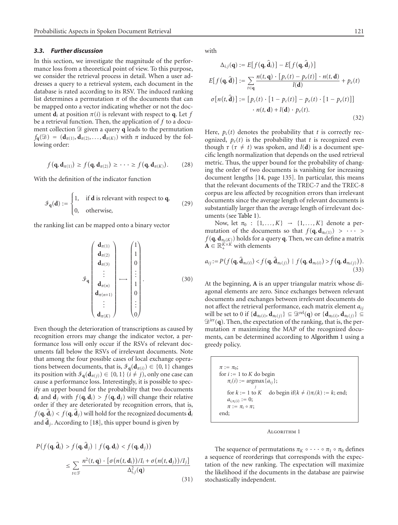#### *3.3. Further discussion*

In this section, we investigate the magnitude of the performance loss from a theoretical point of view. To this purpose, we consider the retrieval process in detail. When a user addresses a query to a retrieval system, each document in the database is rated according to its RSV. The induced ranking list determines a permutation  $\pi$  of the documents that can be mapped onto a vector indicating whether or not the document  $\mathbf{d}_i$  at position  $\pi(i)$  is relevant with respect to **q**. Let *f* be a retrieval function. Then, the application of *f* to a document collection  $\mathcal{D}$  given a query **q** leads to the permutation  $f_{\bf q}(\mathcal{D}) = (\mathbf{d}_{\pi(1)}, \mathbf{d}_{\pi(2)}, \dots, \mathbf{d}_{\pi(K)})$  with  $\pi$  induced by the following order:

$$
f(\mathbf{q}, \mathbf{d}_{\pi(1)}) \ge f(\mathbf{q}, \mathbf{d}_{\pi(2)}) \ge \cdots \ge f(\mathbf{q}, \mathbf{d}_{\pi(K)}). \tag{28}
$$

With the definition of the indicator function

$$
\mathcal{F}_{q}(\mathbf{d}) := \begin{cases} 1, & \text{if } \mathbf{d} \text{ is relevant with respect to } \mathbf{q}, \\ 0, & \text{otherwise,} \end{cases} \tag{29}
$$

the ranking list can be mapped onto a binary vector

$$
\mathcal{I}_{\mathbf{q}}\left(\begin{array}{c} \mathbf{d}_{\pi(1)} \\ \mathbf{d}_{\pi(2)} \\ \vdots \\ \mathbf{d}_{\pi(3)} \\ \mathbf{d}_{\pi(n)} \\ \mathbf{d}_{\pi(n+1)} \\ \vdots \\ \mathbf{d}_{\pi(K)} \end{array}\right)\longrightarrow \left(\begin{array}{c} 1 \\ 1 \\ 0 \\ \vdots \\ 1 \\ 0 \\ \vdots \\ 0 \end{array}\right).
$$
(30)

Even though the deterioration of transcriptions as caused by recognition errors may change the indicator vector, a performance loss will only occur if the RSVs of relevant documents fall below the RSVs of irrelevant documents. Note that among the four possible cases of local exchange operations between documents, that is,  $\mathcal{F}_{q}(\mathbf{d}_{\pi(i)}) \in \{0, 1\}$  changes its position with  $\mathcal{F}_{q}(\mathbf{d}_{\pi(j)}) \in \{0, 1\}$  ( $i \neq j$ ), only one case can cause a performance loss. Interestingly, it is possible to specify an upper bound for the probability that two documents **d**<sub>*i*</sub> and **d**<sub>*j*</sub> with  $f(\mathbf{q}, \mathbf{d}_i) > f(\mathbf{q}, \mathbf{d}_j)$  will change their relative order if they are deteriorated by recognition errors, that is,  $f(\mathbf{q}, \mathbf{d}_i) < f(\mathbf{q}, \mathbf{d}_i)$  will hold for the recognized documents  $\mathbf{d}_i$ and  $\hat{\mathbf{d}}_i$ . According to [18], this upper bound is given by

$$
P(f(\mathbf{q}, \hat{\mathbf{d}}_i) > f(\mathbf{q}, \hat{\mathbf{d}}_j) \mid f(\mathbf{q}, \mathbf{d}_i) < f(\mathbf{q}, \mathbf{d}_j))
$$
\n
$$
\leq \sum_{t \in \mathcal{F}} \frac{n^2(t, \mathbf{q}) \cdot [\sigma(n(t, \mathbf{d}_i))/I_i + \sigma(n(t, \mathbf{d}_j))/I_j]}{\Delta_{i,j}^2(\mathbf{q})} \tag{31}
$$

with

$$
\Delta_{i,j}(\mathbf{q}) := E[f(\mathbf{q}, \hat{\mathbf{d}}_i)] - E[f(\mathbf{q}, \hat{\mathbf{d}}_j)]
$$
  
\n
$$
E[f(\mathbf{q}, \hat{\mathbf{d}})] := \sum_{t \in \mathbf{q}} \frac{n(t, \mathbf{q}) \cdot [p_c(t) - p_e(t)] \cdot n(t, \mathbf{d})}{l(\mathbf{d})} + p_e(t)
$$
  
\n
$$
\sigma[n(t, \hat{\mathbf{d}})] := [p_c(t) \cdot [1 - p_c(t)] - p_e(t) \cdot [1 - p_e(t)]]
$$
  
\n
$$
\cdot n(t, \mathbf{d}) + l(\mathbf{d}) \cdot p_e(t).
$$
\n(32)

Here,  $p_c(t)$  denotes the probability that *t* is correctly recognized,  $p_e(t)$  is the probability that *t* is recognized even though  $\tau$  ( $\tau \neq t$ ) was spoken, and *l*(**d**) is a document specific length normalization that depends on the used retrieval metric. Thus, the upper bound for the probability of changing the order of two documents is vanishing for increasing document lengths [14, page 135]. In particular, this means that the relevant documents of the TREC-7 and the TREC-8 corpus are less affected by recognition errors than irrelevant documents since the average length of relevant documents is substantially larger than the average length of irrelevant documents (see Table 1).

Now, let  $π_0$  : {1,..., K} → {1,..., K} denote a permutation of the documents so that  $f(\mathbf{q}, \mathbf{d}_{\pi_0(1)}) > \cdots$  $f(\mathbf{q}, \mathbf{d}_{\pi_0(K)})$  holds for a query **q**. Then, we can define a matrix  $\mathbf{A} \in \mathbb{R}_{+}^{K \times K}$  with elements

$$
a_{ij} := P(f(\mathbf{q}, \hat{\mathbf{d}}_{\pi_0(i)}) < f(\mathbf{q}, \hat{\mathbf{d}}_{\pi_0(j)}) \mid f(\mathbf{q}, \mathbf{d}_{\pi_0(i)}) > f(\mathbf{q}, \mathbf{d}_{\pi_0(j)})). \tag{33}
$$

At the beginning, **A** is an upper triangular matrix whose diagonal elements are zero. Since exchanges between relevant documents and exchanges between irrelevant documents do not affect the retrieval performance, each matrix element *aij* will be set to 0 if  $\{d_{\pi_0(i)}, d_{\pi_0(i)}\} \subseteq \mathcal{D}^{\text{rel}}(q)$  or  $\{d_{\pi_0(i)}, d_{\pi_0(i)}\} \subseteq$  $\mathcal{D}^{\text{irr}}(q)$ . Then, the expectation of the ranking, that is, the permutation  $\pi$  maximizing the MAP of the recognized documents, can be determined according to Algorithm 1 using a greedy policy.

 $\pi := \pi_0;$ for  $i := 1$  to  $K$  do begin  $\pi_i(i) := \text{argmax} \{a_{ij}\};$ for  $k := 1$  to  $K$  do begin if( $k \neq i$ ) $\pi_i(k) := k$ ; end;  $a_{i,\pi_i(i)} := 0;$  $\pi := \pi_i \circ \pi;$ end;

#### Algorithm 1

The sequence of permutations  $\pi_K \circ \cdots \circ \pi_1 \circ \pi_0$  defines a sequence of reorderings that corresponds with the expectation of the new ranking. The expectation will maximize the likelihood if the documents in the database are pairwise stochastically independent.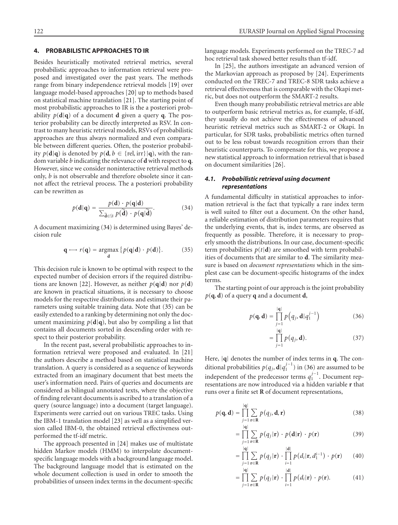# **4. PROBABILISTIC APPROACHES TO IR**

Besides heuristically motivated retrieval metrics, several probabilistic approaches to information retrieval were proposed and investigated over the past years. The methods range from binary independence retrieval models [19] over language model-based approaches [20] up to methods based on statistical machine translation [21]. The starting point of most probabilistic approaches to IR is the a posteriori probability  $p(\mathbf{d}|\mathbf{q})$  of a document **d** given a query **q**. The posterior probability can be directly interpreted as RSV. In contrast to many heuristic retrieval models, RSVs of probabilistic approaches are thus always normalized and even comparable between different queries. Often, the posterior probability  $p(\mathbf{d}|\mathbf{q})$  is denoted by  $p(\mathbf{d}, b \in \{rel, irr\}|\mathbf{q})$ , with the random variable *b* indicating the relevance of **d** with respect to **q**. However, since we consider noninteractive retrieval methods only, *b* is not observable and therefore obsolete since it cannot affect the retrieval process. The a posteriori probability can be rewritten as

$$
p(\mathbf{d}|\mathbf{q}) = \frac{p(\mathbf{d}) \cdot p(\mathbf{q}|\mathbf{d})}{\sum_{\widetilde{\mathbf{d}} \in \mathcal{D}} p(\widetilde{\mathbf{d}}) \cdot p(\mathbf{q}|\widetilde{\mathbf{d}})}.
$$
(34)

A document maximizing (34) is determined using Bayes' decision rule

$$
\mathbf{q} \longrightarrow r(\mathbf{q}) = \underset{\mathbf{d}}{\operatorname{argmax}} \{ p(\mathbf{q}|\mathbf{d}) \cdot p(\mathbf{d}) \}. \tag{35}
$$

This decision rule is known to be optimal with respect to the expected number of decision errors if the required distributions are known [22]. However, as neither  $p(\mathbf{q}|\mathbf{d})$  nor  $p(\mathbf{d})$ are known in practical situations, it is necessary to choose models for the respective distributions and estimate their parameters using suitable training data. Note that (35) can be easily extended to a ranking by determining not only the document maximizing  $p(\mathbf{d}|\mathbf{q})$ , but also by compiling a list that contains all documents sorted in descending order with respect to their posterior probability.

In the recent past, several probabilistic approaches to information retrieval were proposed and evaluated. In [21] the authors describe a method based on statistical machine translation. A query is considered as a sequence of keywords extracted from an imaginary document that best meets the user's information need. Pairs of queries and documents are considered as bilingual annotated texts, where the objective of finding relevant documents is ascribed to a translation of a query (source language) into a document (target language). Experiments were carried out on various TREC tasks. Using the IBM-1 translation model [23] as well as a simplified version called IBM-0, the obtained retrieval effectiveness outperformed the tf-idf metric.

The approach presented in [24] makes use of multistate hidden Markov models (HMM) to interpolate documentspecific language models with a background language model. The background language model that is estimated on the whole document collection is used in order to smooth the probabilities of unseen index terms in the document-specific

language models. Experiments performed on the TREC-7 ad hoc retrieval task showed better results than tf-idf.

In [25], the authors investigate an advanced version of the Markovian approach as proposed by [24]. Experiments conducted on the TREC-7 and TREC-8 SDR tasks achieve a retrieval effectiveness that is comparable with the Okapi metric, but does not outperform the SMART-2 results.

Even though many probabilistic retrieval metrics are able to outperform basic retrieval metrics as, for example, tf-idf, they usually do not achieve the effectiveness of advanced heuristic retrieval metrics such as SMART-2 or Okapi. In particular, for SDR tasks, probabilistic metrics often turned out to be less robust towards recognition errors than their heuristic counterparts. To compensate for this, we propose a new statistical approach to information retrieval that is based on document similarities [26].

# *4.1. Probabilistic retrieval using document representations*

A fundamental difficulty in statistical approaches to information retrieval is the fact that typically a rare index term is well suited to filter out a document. On the other hand, a reliable estimation of distribution parameters requires that the underlying events, that is, index terms, are observed as frequently as possible. Therefore, it is necessary to properly smooth the distributions. In our case, document-specific term probabilities  $p(t|\mathbf{d})$  are smoothed with term probabilities of documents that are similar to **d**. The similarity measure is based on *document representations* which in the simplest case can be document-specific histograms of the index terms.

The starting point of our approach is the joint probability  $p(\mathbf{q}, \mathbf{d})$  of a query **q** and a document **d**,

$$
p(\mathbf{q}, \mathbf{d}) = \prod_{j=1}^{|\mathbf{q}|} p(q_j, \mathbf{d}|q_1^{j-1})
$$
 (36)

$$
= \prod_{j=1}^{|q|} p(q_j, \mathbf{d}).
$$
 (37)

Here, |**q**| denotes the number of index terms in **q**. The conditional probabilities  $p(q_j, \mathbf{d}|q_1^{j-1})$  in (36) are assumed to be independent of the predecessor terms  $q_1^{j-1}$ . Document representations are now introduced via a hidden variable **r** that runs over a finite set **R** of document representations,

$$
p(\mathbf{q}, \mathbf{d}) = \prod_{j=1}^{|\mathbf{q}|} \sum_{\mathbf{r} \in \mathbf{R}} p(q_j, \mathbf{d}, \mathbf{r})
$$
 (38)

$$
= \prod_{j=1}^{|\mathbf{q}|} \sum_{\mathbf{r} \in \mathbf{R}} p(q_j|\mathbf{r}) \cdot p(\mathbf{d}|\mathbf{r}) \cdot p(\mathbf{r}) \tag{39}
$$

$$
= \prod_{j=1}^{|\mathbf{q}|} \sum_{\mathbf{r} \in \mathbf{R}} p(q_j|\mathbf{r}) \cdot \prod_{i=1}^{|\mathbf{d}|} p(d_i|\mathbf{r}, d_1^{i-1}) \cdot p(\mathbf{r}) \qquad (40)
$$

$$
= \prod_{j=1}^{|\mathbf{q}|} \sum_{\mathbf{r} \in \mathbf{R}} p(q_j|\mathbf{r}) \cdot \prod_{i=1}^{|\mathbf{d}|} p(d_i|\mathbf{r}) \cdot p(\mathbf{r}). \tag{41}
$$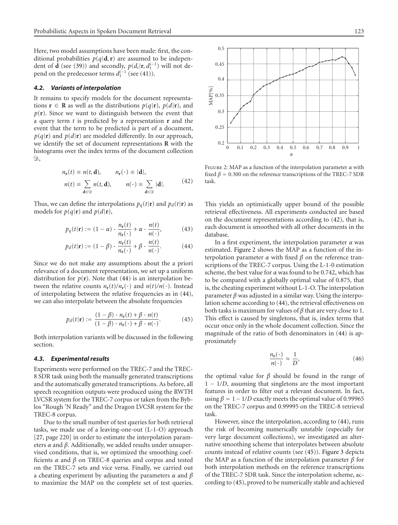Here, two model assumptions have been made: first, the conditional probabilities  $p(q|\mathbf{d}, \mathbf{r})$  are assumed to be independent of **d** (see (39)) and secondly,  $p(d_i|\mathbf{r}, d_1^{i-1})$  will not depend on the predecessor terms  $d_1^{i-1}$  (see (41)).

# *4.2. Variants of interpolation*

It remains to specify models for the document representations **r** ∈ **R** as well as the distributions  $p(q|\mathbf{r})$ ,  $p(d|\mathbf{r})$ , and  $p(r)$ . Since we want to distinguish between the event that a query term *t* is predicted by a representation **r** and the event that the term to be predicted is part of a document,  $p(q|\mathbf{r})$  and  $p(d|\mathbf{r})$  are modeled differently. In our approach, we identify the set of document representations **R** with the histograms over the index terms of the document collection  $\mathfrak{D},$ 

$$
n_{\mathbf{r}}(t) \equiv n(t, \mathbf{d}), \qquad n_{\mathbf{r}}(\cdot) \equiv |\mathbf{d}|,
$$

$$
n(t) \equiv \sum_{\mathbf{d}\in\mathcal{D}} n(t, \mathbf{d}), \qquad n(\cdot) \equiv \sum_{\mathbf{d}\in\mathcal{D}} |\mathbf{d}|. \tag{42}
$$

Thus, we can define the interpolations  $p_q(t|\mathbf{r})$  and  $p_d(t|\mathbf{r})$  as models for  $p(q|\mathbf{r})$  and  $p(d|\mathbf{r})$ ,

$$
p_q(t|\mathbf{r}) := (1 - \alpha) \cdot \frac{n_\mathbf{r}(t)}{n_\mathbf{r}(\cdot)} + \alpha \cdot \frac{n(t)}{n(\cdot)},
$$
 (43)

$$
p_d(t|\mathbf{r}) := (1 - \beta) \cdot \frac{n_{\mathbf{r}}(t)}{n_{\mathbf{r}}(\cdot)} + \beta \cdot \frac{n(t)}{n(\cdot)}.
$$
 (44)

Since we do not make any assumptions about the a priori relevance of a document representation, we set up a uniform distribution for  $p(\mathbf{r})$ . Note that (44) is an interpolation between the relative counts  $n_r(t)/n_r(\cdot)$  and  $n(t)/n(\cdot)$ . Instead of interpolating between the relative frequencies as in (44), we can also interpolate between the absolute frequencies

$$
p_d(t|\mathbf{r}) := \frac{(1-\beta) \cdot n_{\mathbf{r}}(t) + \beta \cdot n(t)}{(1-\beta) \cdot n_{\mathbf{r}}(\cdot) + \beta \cdot n(\cdot)}.
$$
 (45)

Both interpolation variants will be discussed in the following section.

#### *4.3. Experimental results*

Experiments were performed on the TREC-7 and the TREC-8 SDR task using both the manually generated transcriptions and the automatically generated transcriptions. As before, all speech recognition outputs were produced using the RWTH LVCSR system for the TREC-7 corpus or taken from the Byblos "Rough 'N Ready" and the Dragon LVCSR system for the TREC-8 corpus.

Due to the small number of test queries for both retrieval tasks, we made use of a leaving-one-out (L-1-O) approach [27, page 220] in order to estimate the interpolation parameters *α* and *β*. Additionally, we added results under unsupervised conditions, that is, we optimized the smoothing coefficients *α* and *β* on TREC-8 queries and corpus and tested on the TREC-7 sets and vice versa. Finally, we carried out a cheating experiment by adjusting the parameters *α* and *β* to maximize the MAP on the complete set of test queries.



Figure 2: MAP as a function of the interpolation parameter *α* with fixed  $\beta$  = 0.300 on the reference transcriptions of the TREC-7 SDR task.

This yields an optimistically upper bound of the possible retrieval effectiveness. All experiments conducted are based on the document representations according to (42), that is, each document is smoothed with all other documents in the database.

In a first experiment, the interpolation parameter *α* was estimated. Figure 2 shows the MAP as a function of the interpolation parameter *α* with fixed *β* on the reference transcriptions of the TREC-7 corpus. Using the L-1-0 estimation scheme, the best value for *α* was found to be 0*.*742, which has to be compared with a globally optimal value of 0*.*875, that is, the cheating experiment without L-1-O. The interpolation parameter  $\beta$  was adjusted in a similar way. Using the interpolation scheme according to (44), the retrieval effectiveness on both tasks is maximum for values of *β* that are very close to 1. This effect is caused by singletons, that is, index terms that occur once only in the whole document collection. Since the magnitude of the ratio of both denominators in (44) is approximately

$$
\frac{n_{\mathbf{r}}(\cdot)}{n(\cdot)} \approx \frac{1}{D},\tag{46}
$$

the optimal value for  $β$  should be found in the range of 1 − 1*/D*, assuming that singletons are the most important features in order to filter out a relevant document. In fact, using  $\beta = 1 - 1/D$  exactly meets the optimal value of 0.99965 on the TREC-7 corpus and 0*.*99995 on the TREC-8 retrieval task.

However, since the interpolation, according to (44), runs the risk of becoming numerically unstable (especially for very large document collections), we investigated an alternative smoothing scheme that interpolates between absolute counts instead of relative counts (see (45)). Figure 3 depicts the MAP as a function of the interpolation parameter *β* for both interpolation methods on the reference transcriptions of the TREC-7 SDR task. Since the interpolation scheme, according to (45), proved to be numerically stable and achieved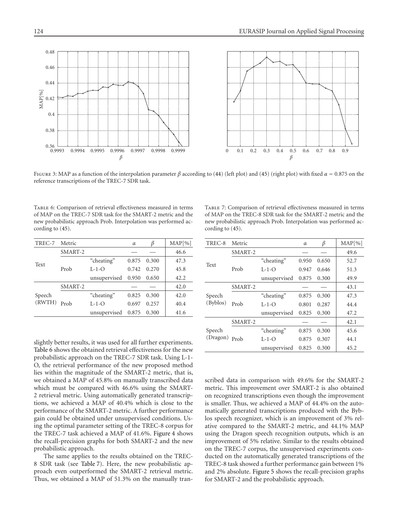

Figure 3: MAP as a function of the interpolation parameter *β* according to (44) (left plot) and (45) (right plot) with fixed *α* = 0*.*875 on the reference transcriptions of the TREC-7 SDR task.

Table 6: Comparison of retrieval effectiveness measured in terms of MAP on the TREC-7 SDR task for the SMART-2 metric and the new probabilistic approach Prob. Interpolation was performed according to (45).

| TREC-7           | Metric  |              | $\alpha$ | ß     | MAP[%] |
|------------------|---------|--------------|----------|-------|--------|
| Text             | SMART-2 |              |          |       | 46.6   |
|                  |         | "cheating"   | 0.875    | 0.300 | 47.3   |
|                  | Prob    | $L-1-O$      | 0.742    | 0.270 | 45.8   |
|                  |         | unsupervised | 0.950    | 0.650 | 42.2   |
| Speech<br>(RWTH) | SMART-2 |              |          |       | 42.0   |
|                  |         | "cheating"   | 0.825    | 0.300 | 42.0   |
|                  | Prob    | $L-1-O$      | 0.697    | 0.257 | 40.4   |
|                  |         | unsupervised | 0.875    | 0.300 | 41.6   |

Table 7: Comparison of retrieval effectiveness measured in terms of MAP on the TREC-8 SDR task for the SMART-2 metric and the new probabilistic approach Prob. Interpolation was performed according to (45).

| TREC-8             | Metric  |              | $\alpha$ | β     | MAP[%] |
|--------------------|---------|--------------|----------|-------|--------|
|                    | SMART-2 |              |          |       | 49.6   |
| Text               |         | "cheating"   | 0.950    | 0.650 | 52.7   |
|                    | Prob    | $L-1-O$      | 0.947    | 0.646 | 51.3   |
|                    |         | unsupervised | 0.875    | 0.300 | 49.9   |
|                    | SMART-2 |              |          |       | 43.1   |
| Speech             |         | "cheating"   | 0.875    | 0.300 | 47.3   |
| (Byblos)           | Prob    | $L-1-o$      | 0.801    | 0.287 | 44.4   |
|                    |         | unsupervised | 0.825    | 0.300 | 47.2   |
|                    | SMART-2 |              |          |       | 42.1   |
| Speech<br>(Dragon) |         | "cheating"   | 0.875    | 0.300 | 45.6   |
|                    | Prob    | $L-1-O$      | 0.875    | 0.307 | 44.1   |
|                    |         | unsupervised | 0.825    | 0.300 | 45.2   |

slightly better results, it was used for all further experiments. Table 6 shows the obtained retrieval effectiveness for the new probabilistic approach on the TREC-7 SDR task. Using L-1- O, the retrieval performance of the new proposed method lies within the magnitude of the SMART-2 metric, that is, we obtained a MAP of 45*.*8% on manually transcribed data which must be compared with 46.6% using the SMART-2 retrieval metric. Using automatically generated transcriptions, we achieved a MAP of 40*.*4% which is close to the performance of the SMART-2 metric. A further performance gain could be obtained under unsupervised conditions. Using the optimal parameter setting of the TREC-8 corpus for the TREC-7 task achieved a MAP of 41*.*6%. Figure 4 shows the recall-precision graphs for both SMART-2 and the new probabilistic approach.

The same applies to the results obtained on the TREC-8 SDR task (see Table 7). Here, the new probabilistic approach even outperformed the SMART-2 retrieval metric. Thus, we obtained a MAP of 51*.*3% on the manually transcribed data in comparison with 49*.*6% for the SMART-2 metric. This improvement over SMART-2 is also obtained on recognized transcriptions even though the improvement is smaller. Thus, we achieved a MAP of 44*.*4% on the automatically generated transcriptions produced with the Byblos speech recognizer, which is an improvement of 3% relative compared to the SMART-2 metric, and 44*.*1% MAP using the Dragon speech recognition outputs, which is an improvement of 5% relative. Similar to the results obtained on the TREC-7 corpus, the unsupervised experiments conducted on the automatically generated transcriptions of the TREC-8 task showed a further performance gain between 1% and 2% absolute. Figure 5 shows the recall-precision graphs for SMART-2 and the probabilistic approach.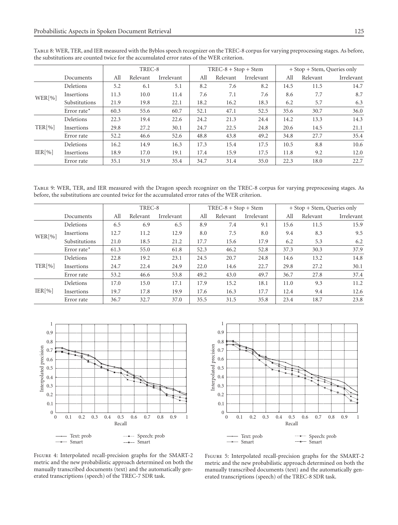|        |               | TREC-8 |          |            | $TREC-8 + Stop + Stem$ |          |            | + Stop + Stem, Queries only |          |            |
|--------|---------------|--------|----------|------------|------------------------|----------|------------|-----------------------------|----------|------------|
|        | Documents     | All    | Relevant | Irrelevant | All                    | Relevant | Irrelevant | All                         | Relevant | Irrelevant |
|        | Deletions     | 5.2    | 6.1      | 5.1        | 8.2                    | 7.6      | 8.2        | 14.5                        | 11.5     | 14.7       |
| WER[%] | Insertions    | 11.3   | 10.0     | 11.4       | 7.6                    | 7.1      | 7.6        | 8.6                         | 7.7      | 8.7        |
|        | Substitutions | 21.9   | 19.8     | 22.1       | 18.2                   | 16.2     | 18.3       | 6.2                         | 5.7      | 6.3        |
|        | Error rate*   | 60.3   | 55.6     | 60.7       | 52.1                   | 47.1     | 52.5       | 35.6                        | 30.7     | 36.0       |
|        | Deletions     | 22.3   | 19.4     | 22.6       | 24.2                   | 21.3     | 24.4       | 14.2                        | 13.3     | 14.3       |
| TER[%] | Insertions    | 29.8   | 27.2     | 30.1       | 24.7                   | 22.5     | 24.8       | 20.6                        | 14.5     | 21.1       |
|        | Error rate    | 52.2   | 46.6     | 52.6       | 48.8                   | 43.8     | 49.2       | 34.8                        | 27.7     | 35.4       |
|        | Deletions     | 16.2   | 14.9     | 16.3       | 17.3                   | 15.4     | 17.5       | 10.5                        | 8.8      | 10.6       |
| IER[%] | Insertions    | 18.9   | 17.0     | 19.1       | 17.4                   | 15.9     | 17.5       | 11.8                        | 9.2      | 12.0       |
|        | Error rate    | 35.1   | 31.9     | 35.4       | 34.7                   | 31.4     | 35.0       | 22.3                        | 18.0     | 22.7       |

Table 8: WER, TER, and IER measured with the Byblos speech recognizer on the TREC-8 corpus for varying preprocessing stages. As before, the substitutions are counted twice for the accumulated error rates of the WER criterion.

Table 9: WER, TER, and IER measured with the Dragon speech recognizer on the TREC-8 corpus for varying preprocessing stages. As before, the substitutions are counted twice for the accumulated error rates of the WER criterion.

|        |               | TREC-8 |          |            | $TREC-8 + Stop + Stem$ |          |            | + Stop + Stem, Queries only |          |            |
|--------|---------------|--------|----------|------------|------------------------|----------|------------|-----------------------------|----------|------------|
|        | Documents     | All    | Relevant | Irrelevant | All                    | Relevant | Irrelevant | All                         | Relevant | Irrelevant |
|        | Deletions     | 6.5    | 6.9      | 6.5        | 8.9                    | 7.4      | 9.1        | 15.6                        | 11.5     | 15.9       |
| WER[%] | Insertions    | 12.7   | 11.2     | 12.9       | 8.0                    | 7.5      | 8.0        | 9.4                         | 8.3      | 9.5        |
|        | Substitutions | 21.0   | 18.5     | 21.2       | 17.7                   | 15.6     | 17.9       | 6.2                         | 5.3      | 6.2        |
|        | Error rate*   | 61.3   | 55.0     | 61.8       | 52.3                   | 46.2     | 52.8       | 37.3                        | 30.3     | 37.9       |
|        | Deletions     | 22.8   | 19.2     | 23.1       | 24.5                   | 20.7     | 24.8       | 14.6                        | 13.2     | 14.8       |
| TER[%] | Insertions    | 24.7   | 22.4     | 24.9       | 22.0                   | 14.6     | 22.7       | 29.8                        | 27.2     | 30.1       |
|        | Error rate    | 53.2   | 46.6     | 53.8       | 49.2                   | 43.0     | 49.7       | 36.7                        | 27.8     | 37.4       |
| IER[%] | Deletions     | 17.0   | 15.0     | 17.1       | 17.9                   | 15.2     | 18.1       | 11.0                        | 9.3      | 11.2       |
|        | Insertions    | 19.7   | 17.8     | 19.9       | 17.6                   | 16.3     | 17.7       | 12.4                        | 9.4      | 12.6       |
|        | Error rate    | 36.7   | 32.7     | 37.0       | 35.5                   | 31.5     | 35.8       | 23.4                        | 18.7     | 23.8       |





Figure 4: Interpolated recall-precision graphs for the SMART-2 metric and the new probabilistic approach determined on both the manually transcribed documents (text) and the automatically generated transcriptions (speech) of the TREC-7 SDR task.

Figure 5: Interpolated recall-precision graphs for the SMART-2 metric and the new probabilistic approach determined on both the manually transcribed documents (text) and the automatically generated transcriptions (speech) of the TREC-8 SDR task.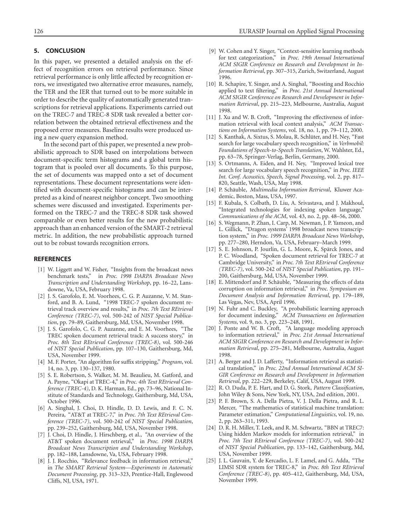# **5. CONCLUSION**

In this paper, we presented a detailed analysis on the effect of recognition errors on retrieval performance. Since retrieval performance is only little affected by recognition errors, we investigated two alternative error measures, namely, the TER and the IER that turned out to be more suitable in order to describe the quality of automatically generated transcriptions for retrieval applications. Experiments carried out on the TREC-7 and TREC-8 SDR task revealed a better correlation between the obtained retrieval effectiveness and the proposed error measures. Baseline results were produced using a new query expansion method.

In the second part of this paper, we presented a new probabilistic approach to SDR based on interpolations between document-specific term histograms and a global term histogram that is pooled over all documents. To this purpose, the set of documents was mapped onto a set of document representations. These document representations were identified with document-specific histograms and can be interpreted as a kind of nearest neighbor concept. Two smoothing schemes were discussed and investigated. Experiments performed on the TREC-7 and the TREC-8 SDR task showed comparable or even better results for the new probabilistic approach than an enhanced version of the SMART-2 retrieval metric. In addition, the new probabilistic approach turned out to be robust towards recognition errors.

## **REFERENCES**

- [1] W. Liggett and W. Fisher, "Insights from the broadcast news benchmark tests," in *Proc. 1998 DARPA Broadcast News Transcription and Understanding Workshop*, pp. 16–22, Lansdowne, Va, USA, February 1998.
- [2] J. S. Garofolo, E. M. Voorhees, C. G. P. Auzanne, V. M. Stanford, and B. A. Lund, "1998 TREC-7 spoken document retrieval track overview and results," in *Proc. 7th Text REtrieval Conference (TREC-7)*, vol. 500-242 of *NIST Special Publication*, pp. 79–89, Gaithersburg, Md, USA, November 1998.
- [3] J. S. Garofolo, C. G. P. Auzanne, and E. M. Voorhees, "The TREC spoken document retrieval track: A success story," in *Proc. 8th Text REtrieval Conference (TREC-8)*, vol. 500-246 of *NIST Special Publication*, pp. 107–130, Gaithersburg, Md, USA, November 1999.
- [4] M. F. Porter, "An algorithm for suffix stripping," *Program*, vol. 14, no. 3, pp. 130–137, 1980.
- [5] S. E. Robertson, S. Walker, M. M. Beaulieu, M. Gatford, and A. Payne, "Okapi at TREC-4," in *Proc. 4th Text REtrieval Conference (TREC-4)*, D. K. Harman, Ed., pp. 73–96, National Institute of Standards and Technology, Gaithersburg, Md, USA, October 1996.
- [6] A. Singhal, J. Choi, D. Hindle, D. D. Lewis, and F. C. N. Pereira, "AT&T at TREC-7," in *Proc. 7th Text REtrieval Conference (TREC-7)*, vol. 500-242 of *NIST Special Publication*, pp. 239–252, Gaithersburg, Md, USA, November 1998.
- [7] J. Choi, D. Hindle, J. Hirschberg, et al., "An overview of the AT&T spoken document retrieval," in *Proc. 1998 DARPA Broadcast News Transcription and Understanding Workshop*, pp. 182–188, Lansdowne, Va, USA, February 1998.
- [8]  $\tilde{J}$ . J. Rocchio, "Relevance feedback in information retrieval," in *The SMART Retrieval System—Experiments in Automatic Document Processing*, pp. 313–323, Prentice-Hall, Englewood Cliffs, NJ, USA, 1971.
- [9] W. Cohen and Y. Singer, "Context-sensitive learning methods for text categorization," in *Proc. 19th Annual International ACM SIGIR Conference on Research and Development in Information Retrieval*, pp. 307–315, Zurich, Switzerland, August 1996.
- [10] R. Schapire, Y. Singer, and A. Singhal, "Boosting and Rocchio applied to text filtering," in *Proc. 21st Annual International ACM SIGIR Conference on Research and Development in Information Retrieval*, pp. 215–223, Melbourne, Australia, August 1998.
- [11] J. Xu and W. B. Croft, "Improving the effectiveness of information retrieval with local context analysis," *ACM Transactions on Information Systems*, vol. 18, no. 1, pp. 79–112, 2000.
- [12] S. Kanthak, A. Sixtus, S. Molau, R. Schlüter, and H. Ney, "Fast search for large vocabulary speech recognition," in *Verbmobil: Foundations of Speech-to-Speech Translation*, W. Wahlster, Ed., pp. 63–78, Springer-Verlag, Berlin, Germany, 2000.
- [13] S. Ortmanns, A. Eiden, and H. Ney, "Improved lexical tree search for large vocabulary speech recognition," in *Proc. IEEE Int. Conf. Acoustics, Speech, Signal Processing*, vol. 2, pp. 817– 820, Seattle, Wash, USA, May 1998.
- [14] P. Schäuble, *Multimedia Information Retrieval*, Kluwer Academic, Boston, Mass, USA, 1997.
- [15] F. Kubala, S. Colbath, D. Liu, A. Srivastava, and J. Makhoul, "Integrated technologies for indexing spoken language," *Communications of the ACM*, vol. 43, no. 2, pp. 48–56, 2000.
- [16] S. Wegmann, P. Zhan, I. Carp, M. Newman, J. P. Yameon, and L. Gillick, "Dragon systems' 1998 broadcast news transcription system," in *Proc. 1999 DARPA Broadcast News Workshop*, pp. 277–280, Herndon, Va, USA, February–March 1999.
- [17] S. E. Johnson, P. Jourlin, G. L. Moore, K. Spärck Jones, and P. C. Woodland, "Spoken document retrieval for TREC-7 at Cambridge University," in *Proc. 7th Text REtrieval Conference (TREC-7)*, vol. 500-242 of *NIST Special Publication*, pp. 191– 200, Gaithersburg, Md, USA, November 1999.
- [18] E. Mittendorf and P. Schäuble, "Measuring the effects of data corruption on information retrieval," in *Proc. Symposium on Document Analysis and Information Retrieval*, pp. 179–189, Las Vegas, Nev, USA, April 1996.
- [19] N. Fuhr and C. Buckley, "A probabilistic learning approach for document indexing," *ACM Transactions on Information Systems*, vol. 9, no. 3, pp. 223–248, 1991.
- [20] J. Ponte and W. B. Croft, "A language modeling approach to information retrieval," in *Proc. 21st Annual International ACM SIGIR Conference on Research and Development in Information Retrieval*, pp. 275–281, Melbourne, Australia, August 1998.
- [21] A. Berger and J. D. Lafferty, "Information retrieval as statistical translation," in *Proc. 22nd Annual International ACM SI-GIR Conference on Research and Development in Information Retrieval*, pp. 222–229, Berkeley, Calif, USA, August 1999.
- [22] R. O. Duda, P. E. Hart, and D. G. Stork, *Pattern Classification*, John Wiley & Sons, New York, NY, USA, 2nd edition, 2001.
- [23] P. F. Brown, S. A. Della Pietra, V. J. Della Pietra, and R. L. Mercer, "The mathematics of statistical machine translation: Parameter estimation," *Computational Linguistics*, vol. 19, no. 2, pp. 263–311, 1993.
- [24] D. R. H. Miller, T. Leek, and R. M. Schwartz, "BBN at TREC7: Using hidden Markov models for information retrieval," in *Proc. 7th Text REtrieval Conference (TREC-7)*, vol. 500-242 of *NIST Special Publication*, pp. 133–142, Gaithersburg, Md, USA, November 1999.
- [25] J. L. Gauvain, Y. de Kercadio, L. F. Lamel, and G. Adda, "The LIMSI SDR system for TREC-8," in *Proc. 8th Text REtrieval Conference (TREC-8)*, pp. 405–412, Gaithersburg, Md, USA, November 1999.